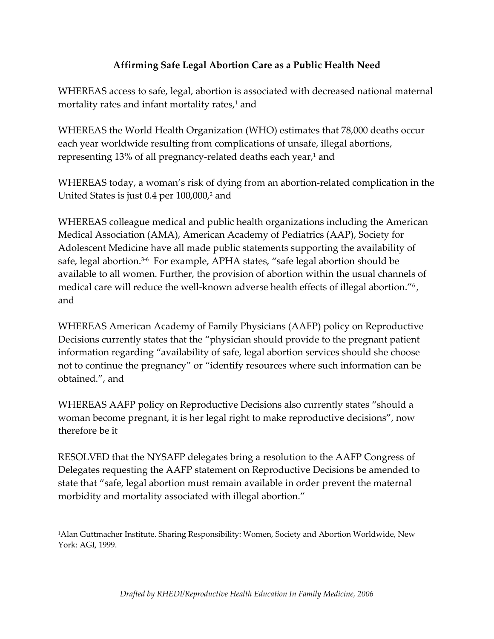## **Affirming Safe Legal Abortion Care as a Public Health Need**

WHEREAS access to safe, legal, abortion is associated with decreased national maternal mortality rates and infant mortality rates, $1$  and

WHEREAS the World Health Organization (WHO) estimates that 78,000 deaths occur each year worldwide resulting from complications of unsafe, illegal abortions, representing 13% of all pregnancy-related deaths each year,<sup>1</sup> and

WHEREAS today, a woman's risk of dying from an abortion‐related complication in the United States is just 0.4 per 100,000,<sup>2</sup> and

WHEREAS colleague medical and public health organizations including the American Medical Association (AMA), American Academy of Pediatrics (AAP), Society for Adolescent Medicine have all made public statements supporting the availability of safe, legal abortion.<sup>3-6</sup> For example, APHA states, "safe legal abortion should be available to all women. Further, the provision of abortion within the usual channels of medical care will reduce the well-known adverse health effects of illegal abortion."<sup>6</sup>, and

WHEREAS American Academy of Family Physicians (AAFP) policy on Reproductive Decisions currently states that the "physician should provide to the pregnant patient information regarding "availability of safe, legal abortion services should she choose not to continue the pregnancy" or "identify resources where such information can be obtained.", and

WHEREAS AAFP policy on Reproductive Decisions also currently states "should a woman become pregnant, it is her legal right to make reproductive decisions", now therefore be it

RESOLVED that the NYSAFP delegates bring a resolution to the AAFP Congress of Delegates requesting the AAFP statement on Reproductive Decisions be amended to state that "safe, legal abortion must remain available in order prevent the maternal morbidity and mortality associated with illegal abortion."

1Alan Guttmacher Institute. Sharing Responsibility: Women, Society and Abortion Worldwide, New York: AGI, 1999.